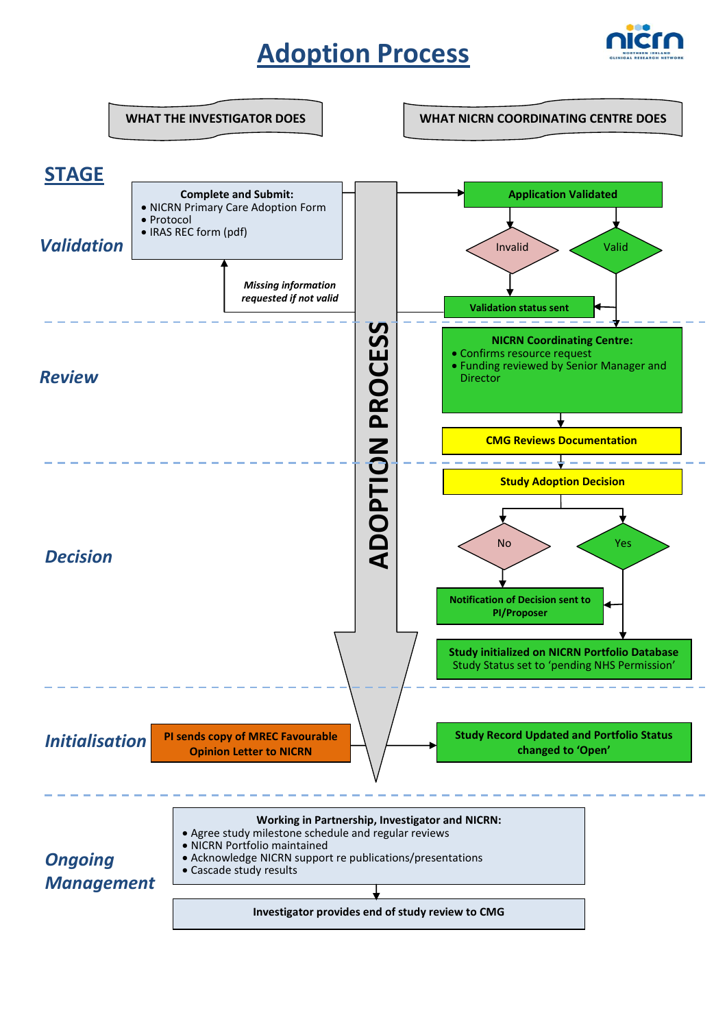# **Adoption Process**



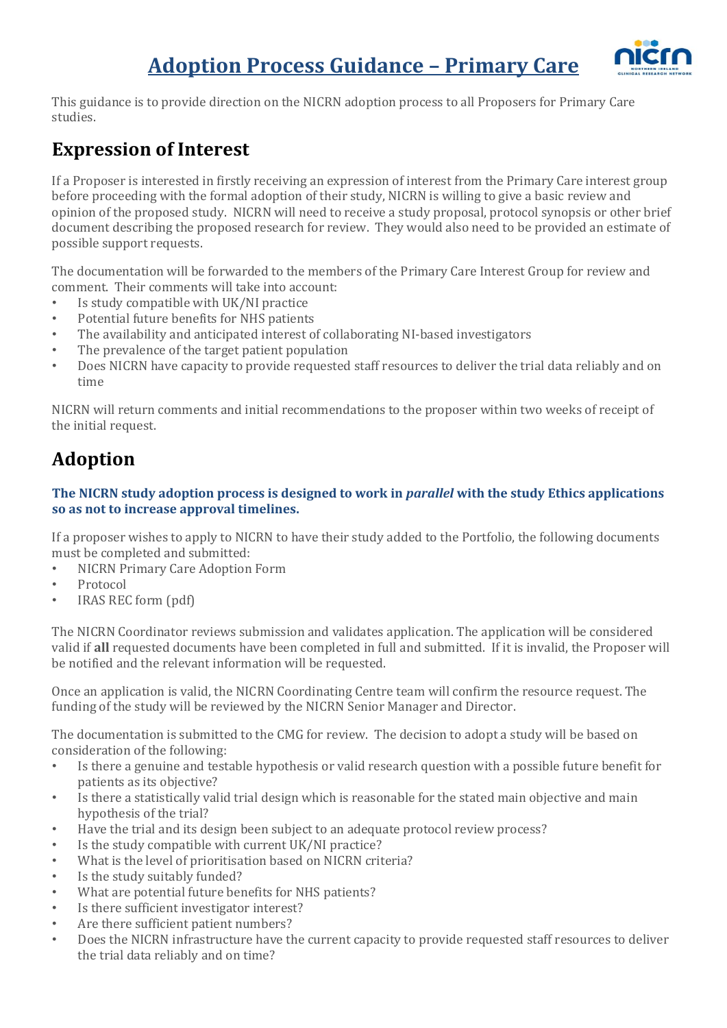## **Adoption Process Guidance – Primary Care**



This guidance is to provide direction on the NICRN adoption process to all Proposers for Primary Care studies.

### **Expression of Interest**

If a Proposer is interested in firstly receiving an expression of interest from the Primary Care interest group before proceeding with the formal adoption of their study, NICRN is willing to give a basic review and opinion of the proposed study. NICRN will need to receive a study proposal, protocol synopsis or other brief document describing the proposed research for review. They would also need to be provided an estimate of possible support requests.

The documentation will be forwarded to the members of the Primary Care Interest Group for review and comment. Their comments will take into account:

- Is study compatible with UK/NI practice
- Potential future benefits for NHS patients
- The availability and anticipated interest of collaborating NI-based investigators
- The prevalence of the target patient population
- Does NICRN have capacity to provide requested staff resources to deliver the trial data reliably and on time

NICRN will return comments and initial recommendations to the proposer within two weeks of receipt of the initial request.

### **Adoption**

### **The NICRN study adoption process is designed to work in** *parallel* **with the study Ethics applications so as not to increase approval timelines.**

If a proposer wishes to apply to NICRN to have their study added to the Portfolio, the following documents must be completed and submitted:

- NICRN Primary Care Adoption Form
- Protocol
- IRAS REC form (pdf)

The NICRN Coordinator reviews submission and validates application. The application will be considered valid if **all** requested documents have been completed in full and submitted. If it is invalid, the Proposer will be notified and the relevant information will be requested.

Once an application is valid, the NICRN Coordinating Centre team will confirm the resource request. The funding of the study will be reviewed by the NICRN Senior Manager and Director.

The documentation is submitted to the CMG for review. The decision to adopt a study will be based on consideration of the following:

- Is there a genuine and testable hypothesis or valid research question with a possible future benefit for patients as its objective?
- Is there a statistically valid trial design which is reasonable for the stated main objective and main hypothesis of the trial?
- Have the trial and its design been subject to an adequate protocol review process?
- Is the study compatible with current UK/NI practice?
- What is the level of prioritisation based on NICRN criteria?
- Is the study suitably funded?
- What are potential future benefits for NHS patients?
- Is there sufficient investigator interest?
- Are there sufficient patient numbers?
- Does the NICRN infrastructure have the current capacity to provide requested staff resources to deliver the trial data reliably and on time?